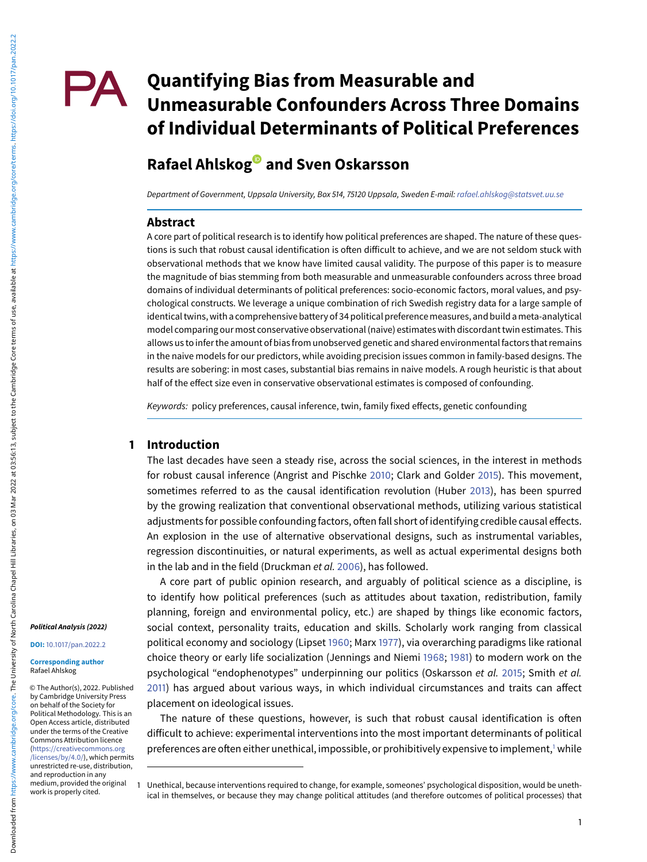# **PA** Quantifying Bias from Measurable and **Unmeasurable Confounders Across Three Domains of Individual Determinants of Political Preferences**

# **Rafael Ahlsko[g](https://orcid.org/0000-0002-4327-447X) and Sven Oskarsson**

Department of Government, Uppsala University, Box 514, 75120 Uppsala, Sweden E-mail: [rafael.ahlskog@statsvet.uu.se](mailto:rafael.ahlskog@statsvet.uu.se)

#### **Abstract**

A core part of political research is to identify how political preferences are shaped. The nature of these questions is such that robust causal identification is often difficult to achieve, and we are not seldom stuck with observational methods that we know have limited causal validity. The purpose of this paper is to measure the magnitude of bias stemming from both measurable and unmeasurable confounders across three broad domains of individual determinants of political preferences: socio-economic factors, moral values, and psychological constructs. We leverage a unique combination of rich Swedish registry data for a large sample of identical twins, with a comprehensive battery of 34 political preferencemeasures, and build ameta-analytical model comparing our most conservative observational (naive) estimates with discordant twin estimates. This allows us to infer the amount of bias from unobserved genetic and shared environmental factors that remains in the naive models for our predictors, while avoiding precision issues common in family-based designs. The results are sobering: in most cases, substantial bias remains in naive models. A rough heuristic is that about half of the effect size even in conservative observational estimates is composed of confounding.

Keywords: policy preferences, causal inference, twin, family fixed effects, genetic confounding

#### **1 Introduction**

The last decades have seen a steady rise, across the social sciences, in the interest in methods for robust causal inference (Angrist and Pischke [2010;](#page-11-0) Clark and Golder [2015\)](#page-11-1). This movement, sometimes referred to as the causal identification revolution (Huber [2013\)](#page-12-0), has been spurred by the growing realization that conventional observational methods, utilizing various statistical adjustments for possible confounding factors, often fall short of identifying credible causal effects. An explosion in the use of alternative observational designs, such as instrumental variables, regression discontinuities, or natural experiments, as well as actual experimental designs both in the lab and in the field (Druckman et al. [2006\)](#page-11-2), has followed.

A core part of public opinion research, and arguably of political science as a discipline, is to identify how political preferences (such as attitudes about taxation, redistribution, family planning, foreign and environmental policy, etc.) are shaped by things like economic factors, social context, personality traits, education and skills. Scholarly work ranging from classical political economy and sociology (Lipset [1960;](#page-12-1) Marx [1977\)](#page-12-2), via overarching paradigms like rational choice theory or early life socialization (Jennings and Niemi [1968;](#page-12-3) [1981\)](#page-12-4) to modern work on the psychological "endophenotypes" underpinning our politics (Oskarsson et al. [2015;](#page-12-5) Smith et al. [2011\)](#page-12-6) has argued about various ways, in which individual circumstances and traits can affect placement on ideological issues.

The nature of these questions, however, is such that robust causal identification is often difficult to achieve: experimental interventions into the most important determinants of political preferences are often either unethical, impossible, or prohibitively expensive to implement,<sup>1</sup> while

#### **Political Analysis (2022)**

**DOI:** [10.1017/pan.2022.2](www.doi.org/10.1017/pan.2022.2)

#### **Corresponding author** Rafael Ahlskog

© The Author(s), 2022. Published by Cambridge University Press on behalf of the Society for Political Methodology. This is an Open Access article, distributed under the terms of the Creative Commons Attribution licence (https://creativecommons.org [/licenses/by/4.0/\), which permi](https://creativecommons.org/licenses/by/4.0/)ts unrestricted re-use, distribution, and reproduction in any medium, provided the original work is properly cited.

<span id="page-0-0"></span><sup>1</sup> Unethical, because interventions required to change, for example, someones' psychological disposition, would be unethical in themselves, or because they may change political attitudes (and therefore outcomes of political processes) that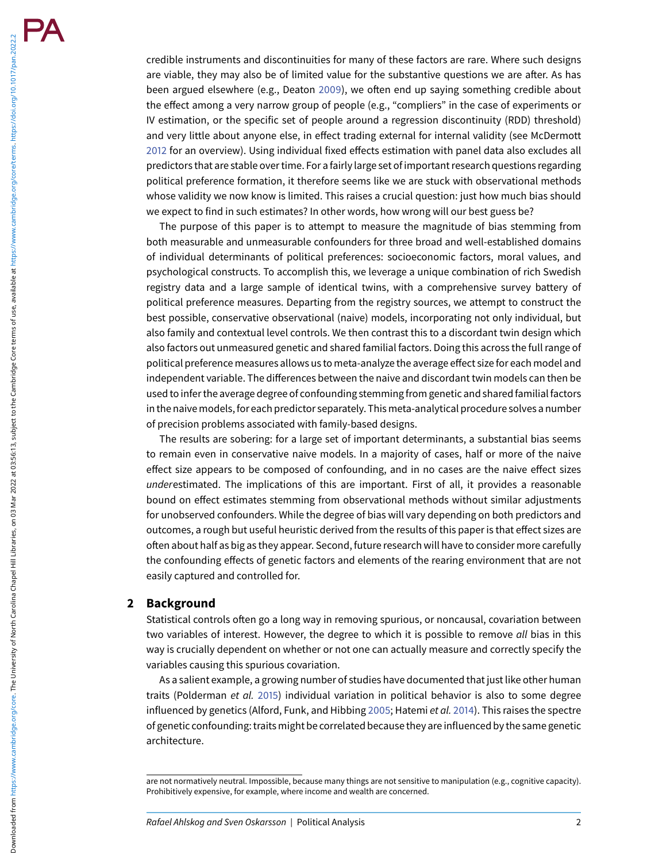credible instruments and discontinuities for many of these factors are rare. Where such designs are viable, they may also be of limited value for the substantive questions we are after. As has been argued elsewhere (e.g., Deaton [2009\)](#page-11-3), we often end up saying something credible about the effect among a very narrow group of people (e.g., "compliers" in the case of experiments or IV estimation, or the specific set of people around a regression discontinuity (RDD) threshold) and very little about anyone else, in effect trading external for internal validity (see McDermott [2012](#page-12-7) for an overview). Using individual fixed effects estimation with panel data also excludes all predictors that are stable over time. For a fairly large set of important research questions regarding political preference formation, it therefore seems like we are stuck with observational methods whose validity we now know is limited. This raises a crucial question: just how much bias should we expect to find in such estimates? In other words, how wrong will our best guess be?

The purpose of this paper is to attempt to measure the magnitude of bias stemming from both measurable and unmeasurable confounders for three broad and well-established domains of individual determinants of political preferences: socioeconomic factors, moral values, and psychological constructs. To accomplish this, we leverage a unique combination of rich Swedish registry data and a large sample of identical twins, with a comprehensive survey battery of political preference measures. Departing from the registry sources, we attempt to construct the best possible, conservative observational (naive) models, incorporating not only individual, but also family and contextual level controls. We then contrast this to a discordant twin design which also factors out unmeasured genetic and shared familial factors. Doing this across the full range of political preference measures allows us to meta-analyze the average effect size for each model and independent variable. The differences between the naive and discordant twin models can then be used to infer the average degree of confounding stemming from genetic and shared familial factors in the naive models, for each predictor separately. This meta-analytical procedure solves a number of precision problems associated with family-based designs.

The results are sobering: for a large set of important determinants, a substantial bias seems to remain even in conservative naive models. In a majority of cases, half or more of the naive effect size appears to be composed of confounding, and in no cases are the naive effect sizes underestimated. The implications of this are important. First of all, it provides a reasonable bound on effect estimates stemming from observational methods without similar adjustments for unobserved confounders. While the degree of bias will vary depending on both predictors and outcomes, a rough but useful heuristic derived from the results of this paper is that effect sizes are often about half as big as they appear. Second, future research will have to consider more carefully the confounding effects of genetic factors and elements of the rearing environment that are not easily captured and controlled for.

#### **2 Background**

Statistical controls often go a long way in removing spurious, or noncausal, covariation between two variables of interest. However, the degree to which it is possible to remove all bias in this way is crucially dependent on whether or not one can actually measure and correctly specify the variables causing this spurious covariation.

As a salient example, a growing number of studies have documented that just like other human traits (Polderman et al. [2015\)](#page-12-8) individual variation in political behavior is also to some degree influenced by genetics (Alford, Funk, and Hibbing [2005;](#page-11-4) Hatemi et al. [2014\)](#page-12-9). This raises the spectre of genetic confounding: traits might be correlated because they are influenced by the same genetic architecture.

are not normatively neutral. Impossible, because many things are not sensitive to manipulation (e.g., cognitive capacity). Prohibitively expensive, for example, where income and wealth are concerned.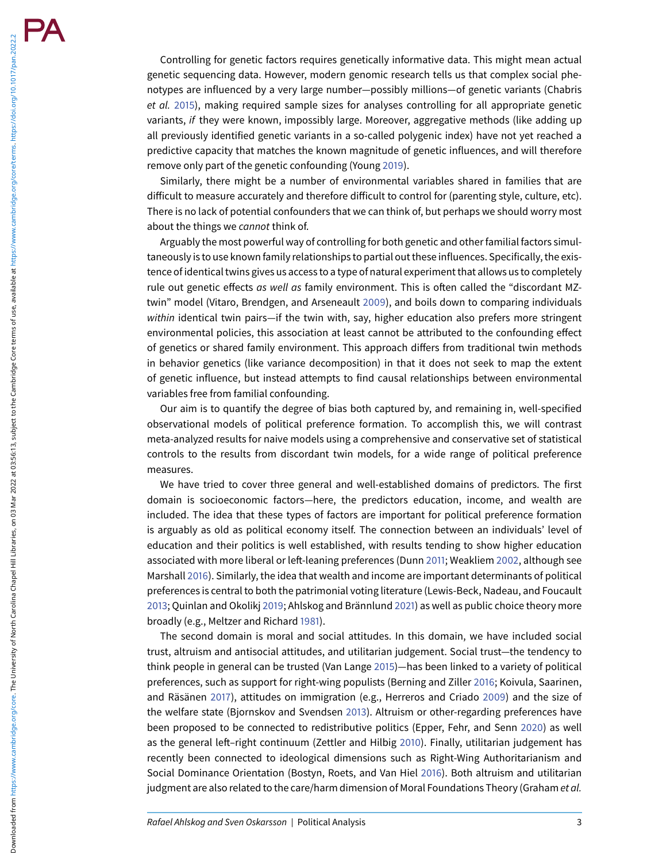Controlling for genetic factors requires genetically informative data. This might mean actual genetic sequencing data. However, modern genomic research tells us that complex social phenotypes are influenced by a very large number—possibly millions—of genetic variants (Chabris et al. [2015\)](#page-11-5), making required sample sizes for analyses controlling for all appropriate genetic variants, if they were known, impossibly large. Moreover, aggregative methods (like adding up all previously identified genetic variants in a so-called polygenic index) have not yet reached a predictive capacity that matches the known magnitude of genetic influences, and will therefore remove only part of the genetic confounding (Young [2019\)](#page-13-0).

Similarly, there might be a number of environmental variables shared in families that are difficult to measure accurately and therefore difficult to control for (parenting style, culture, etc). There is no lack of potential confounders that we can think of, but perhaps we should worry most about the things we cannot think of.

Arguably the most powerful way of controlling for both genetic and other familial factors simultaneously is to use known family relationships to partial out these influences. Specifically, the existence of identical twins gives us access to a type of natural experiment that allows us to completely rule out genetic effects as well as family environment. This is often called the "discordant MZtwin" model (Vitaro, Brendgen, and Arseneault [2009\)](#page-12-10), and boils down to comparing individuals within identical twin pairs—if the twin with, say, higher education also prefers more stringent environmental policies, this association at least cannot be attributed to the confounding effect of genetics or shared family environment. This approach differs from traditional twin methods in behavior genetics (like variance decomposition) in that it does not seek to map the extent of genetic influence, but instead attempts to find causal relationships between environmental variables free from familial confounding.

Our aim is to quantify the degree of bias both captured by, and remaining in, well-specified observational models of political preference formation. To accomplish this, we will contrast meta-analyzed results for naive models using a comprehensive and conservative set of statistical controls to the results from discordant twin models, for a wide range of political preference measures.

We have tried to cover three general and well-established domains of predictors. The first domain is socioeconomic factors—here, the predictors education, income, and wealth are included. The idea that these types of factors are important for political preference formation is arguably as old as political economy itself. The connection between an individuals' level of education and their politics is well established, with results tending to show higher education associated with more liberal or left-leaning preferences (Dunn [2011;](#page-12-11) Weakliem [2002,](#page-12-12) although see Marshall [2016\)](#page-12-13). Similarly, the idea that wealth and income are important determinants of political preferences is central to both the patrimonial voting literature (Lewis-Beck, Nadeau, and Foucault [2013;](#page-12-14) Quinlan and Okolikj [2019;](#page-12-15) Ahlskog and Brännlund [2021\)](#page-11-6) as well as public choice theory more broadly (e.g., Meltzer and Richard [1981\)](#page-12-16).

The second domain is moral and social attitudes. In this domain, we have included social trust, altruism and antisocial attitudes, and utilitarian judgement. Social trust—the tendency to think people in general can be trusted (Van Lange [2015\)](#page-12-17)—has been linked to a variety of political preferences, such as support for right-wing populists (Berning and Ziller [2016;](#page-11-7) Koivula, Saarinen, and Räsänen [2017\)](#page-12-18), attitudes on immigration (e.g., Herreros and Criado [2009\)](#page-12-19) and the size of the welfare state (Bjornskov and Svendsen [2013\)](#page-11-8). Altruism or other-regarding preferences have been proposed to be connected to redistributive politics (Epper, Fehr, and Senn [2020\)](#page-12-20) as well as the general left–right continuum (Zettler and Hilbig [2010\)](#page-13-1). Finally, utilitarian judgement has recently been connected to ideological dimensions such as Right-Wing Authoritarianism and Social Dominance Orientation (Bostyn, Roets, and Van Hiel [2016\)](#page-11-9). Both altruism and utilitarian judgment are also related to the care/harm dimension of Moral Foundations Theory (Graham et al.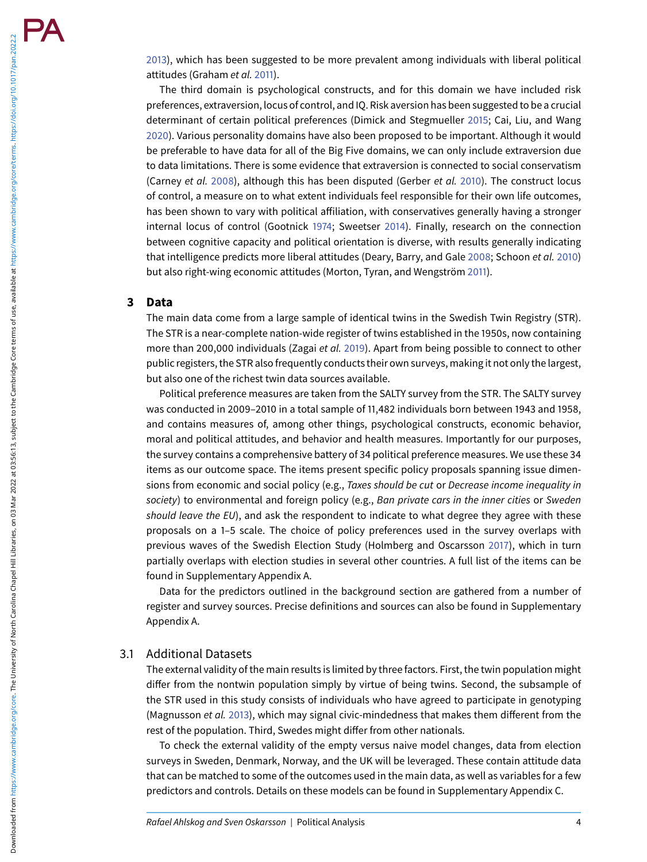[2013\)](#page-12-21), which has been suggested to be more prevalent among individuals with liberal political attitudes (Graham et al. [2011\)](#page-12-22).

The third domain is psychological constructs, and for this domain we have included risk preferences, extraversion, locus of control, and IQ. Risk aversion has been suggested to be a crucial determinant of certain political preferences (Dimick and Stegmueller [2015;](#page-11-10) Cai, Liu, and Wang [2020\)](#page-11-11). Various personality domains have also been proposed to be important. Although it would be preferable to have data for all of the Big Five domains, we can only include extraversion due to data limitations. There is some evidence that extraversion is connected to social conservatism (Carney et al. [2008\)](#page-11-12), although this has been disputed (Gerber et al. [2010\)](#page-12-23). The construct locus of control, a measure on to what extent individuals feel responsible for their own life outcomes, has been shown to vary with political affiliation, with conservatives generally having a stronger internal locus of control (Gootnick [1974;](#page-12-24) Sweetser [2014\)](#page-12-25). Finally, research on the connection between cognitive capacity and political orientation is diverse, with results generally indicating that intelligence predicts more liberal attitudes (Deary, Barry, and Gale [2008;](#page-11-13) Schoon et al. [2010\)](#page-12-26) but also right-wing economic attitudes (Morton, Tyran, and Wengström [2011\)](#page-12-27).

#### **3 Data**

The main data come from a large sample of identical twins in the Swedish Twin Registry (STR). The STR is a near-complete nation-wide register of twins established in the 1950s, now containing more than 200,000 individuals (Zagai et al. [2019\)](#page-13-2). Apart from being possible to connect to other public registers, the STR also frequently conducts their own surveys, making it not only the largest, but also one of the richest twin data sources available.

Political preference measures are taken from the SALTY survey from the STR. The SALTY survey was conducted in 2009–2010 in a total sample of 11,482 individuals born between 1943 and 1958, and contains measures of, among other things, psychological constructs, economic behavior, moral and political attitudes, and behavior and health measures. Importantly for our purposes, the survey contains a comprehensive battery of 34 political preference measures. We use these 34 items as our outcome space. The items present specific policy proposals spanning issue dimensions from economic and social policy (e.g., Taxes should be cut or Decrease income inequality in society) to environmental and foreign policy (e.g., Ban private cars in the inner cities or Sweden should leave the EU), and ask the respondent to indicate to what degree they agree with these proposals on a 1–5 scale. The choice of policy preferences used in the survey overlaps with previous waves of the Swedish Election Study (Holmberg and Oscarsson [2017\)](#page-12-28), which in turn partially overlaps with election studies in several other countries. A full list of the items can be found in Supplementary Appendix A.

Data for the predictors outlined in the background section are gathered from a number of register and survey sources. Precise definitions and sources can also be found in Supplementary Appendix A.

#### 3.1 Additional Datasets

The external validity of the main results is limited by three factors. First, the twin population might differ from the nontwin population simply by virtue of being twins. Second, the subsample of the STR used in this study consists of individuals who have agreed to participate in genotyping (Magnusson et al. [2013\)](#page-12-29), which may signal civic-mindedness that makes them different from the rest of the population. Third, Swedes might differ from other nationals.

To check the external validity of the empty versus naive model changes, data from election surveys in Sweden, Denmark, Norway, and the UK will be leveraged. These contain attitude data that can be matched to some of the outcomes used in the main data, as well as variables for a few predictors and controls. Details on these models can be found in Supplementary Appendix C.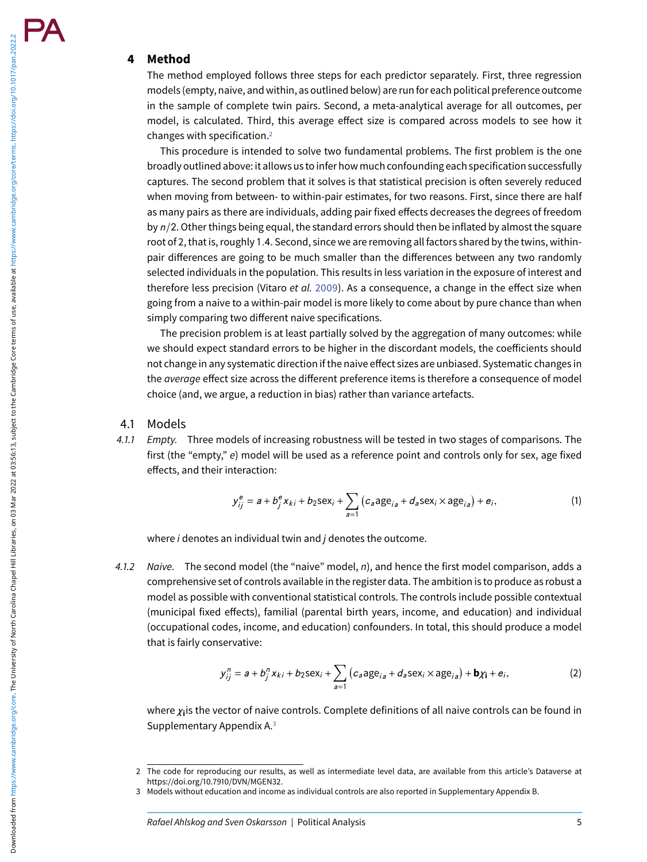#### **4 Method**

The method employed follows three steps for each predictor separately. First, three regression models (empty, naive, and within, as outlined below) are runfor each political preference outcome in the sample of complete twin pairs. Second, a meta-analytical average for all outcomes, per model, is calculated. Third, this average effect size is compared across models to see how it changes with specification[.2](#page-4-0)

This procedure is intended to solve two fundamental problems. The first problem is the one broadly outlined above: it allows us to infer how much confounding each specification successfully captures. The second problem that it solves is that statistical precision is often severely reduced when moving from between- to within-pair estimates, for two reasons. First, since there are half as many pairs as there are individuals, adding pair fixed effects decreases the degrees of freedom by  $n/2$ . Other things being equal, the standard errors should then be inflated by almost the square root of 2, that is, roughly 1.4. Second, since we are removing all factors shared by the twins, withinpair differences are going to be much smaller than the differences between any two randomly selected individuals in the population. This results in less variation in the exposure of interest and therefore less precision (Vitaro et al. [2009\)](#page-12-10). As a consequence, a change in the effect size when going from a naive to a within-pair model is more likely to come about by pure chance than when simply comparing two different naive specifications.

The precision problem is at least partially solved by the aggregation of many outcomes: while we should expect standard errors to be higher in the discordant models, the coefficients should not change in any systematic direction if the naive effect sizes are unbiased. Systematic changes in the *average* effect size across the different preference items is therefore a consequence of model choice (and, we argue, a reduction in bias) rather than variance artefacts.

# 4.1 Models

4.1.1 Empty. Three models of increasing robustness will be tested in two stages of comparisons. The first (the "empty," e) model will be used as a reference point and controls only for sex, age fixed effects, and their interaction:

$$
y_{ij}^{e} = a + b_{j}^{e} x_{ki} + b_{2} \text{sex}_{i} + \sum_{a=1}^{\infty} \left( c_{a} a_{j} e_{ia} + d_{a} \text{sex}_{i} \times a_{j} e_{ia} \right) + e_{i}, \tag{1}
$$

where  $i$  denotes an individual twin and  $j$  denotes the outcome.

4.1.2 Naive. The second model (the "naive" model,  $n$ ), and hence the first model comparison, adds a comprehensive set of controls available in the register data. The ambition is to produce as robust a model as possible with conventional statistical controls. The controls include possible contextual (municipal fixed effects), familial (parental birth years, income, and education) and individual (occupational codes, income, and education) confounders. In total, this should produce a model that is fairly conservative:

$$
y_{ij}^n = a + b_j^n x_{ki} + b_2 \text{sex}_i + \sum_{a=1}^n \left( c_a \text{age}_{ia} + d_a \text{sex}_i \times \text{age}_{ia} \right) + \mathbf{b} \chi_{\mathbf{i}} + \mathbf{e}_i,
$$
 (2)

where *χ***i**is the vector of naive controls. Complete definitions of all naive controls can be found in Supplementary Appendix A[.3](#page-4-1)

<span id="page-4-0"></span><sup>2</sup> The code for reproducing our results, as well as intermediate level data, are available from this article's Dataverse at https://doi.org/10.7910/DVN/MGEN32.

<span id="page-4-1"></span><sup>3</sup> Models without education and income as individual controls are also reported in Supplementary Appendix B.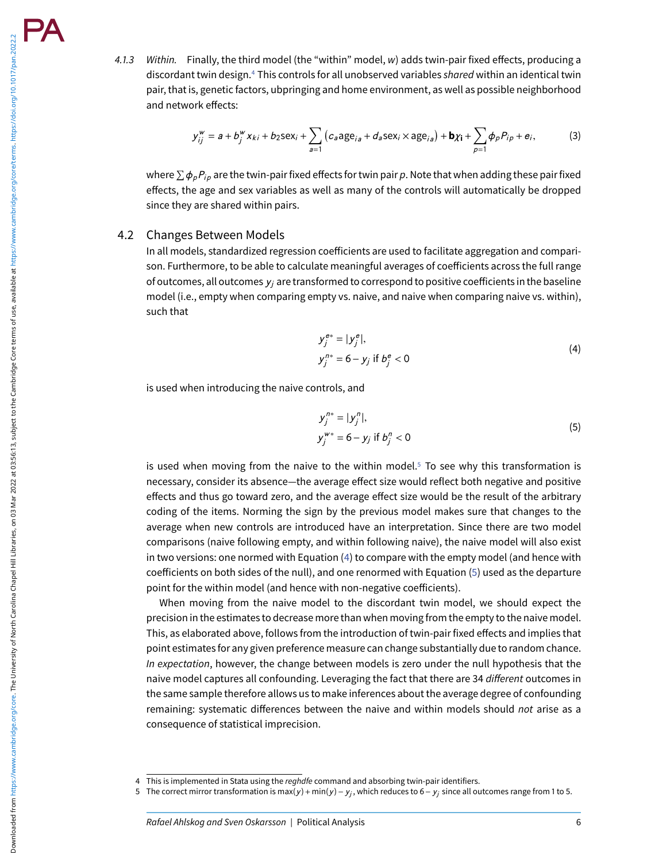4.1.3 Within. Finally, the third model (the "within" model, w) adds twin-pair fixed effects, producing a discordant twin design.<sup>4</sup> This controls for all unobserved variables shared within an identical twin pair, that is, genetic factors, ubpringing and home environment, as well as possible neighborhood and network effects:

$$
y_{ij}^{\mathbf{w}} = a + b_j^{\mathbf{w}} x_{ki} + b_2 \text{sex}_i + \sum_{a=1}^{\infty} \left( c_a \text{age}_{ia} + d_a \text{sex}_i \times \text{age}_{ia} \right) + \mathbf{b} \chi_{\mathbf{i}} + \sum_{p=1}^{\infty} \phi_p P_{ip} + e_i,
$$
 (3)

where  $\sum \phi_p P_{ip}$  are the twin-pair fixed effects for twin pair p. Note that when adding these pair fixed effects, the age and sex variables as well as many of the controls will automatically be dropped since they are shared within pairs.

#### 4.2 Changes Between Models

In all models, standardized regression coefficients are used to facilitate aggregation and comparison. Furthermore, to be able to calculate meaningful averages of coefficients across the full range of outcomes, all outcomes *yj* are transformed to correspond to positive coefficients in the baseline model (i.e., empty when comparing empty vs. naive, and naive when comparing naive vs. within), such that

$$
y_j^{e*} = |y_j^e|,
$$
  
\n
$$
y_j^{n*} = 6 - y_j \text{ if } b_j^e < 0
$$
\n(4)

<span id="page-5-2"></span>is used when introducing the naive controls, and

<span id="page-5-3"></span>
$$
y_j^{n*} = |y_j^n|,
$$
  
\n
$$
y_j^{w*} = 6 - y_j \text{ if } b_j^n < 0
$$
\n(5)

is used when moving from the naive to the within model. $5$  To see why this transformation is necessary, consider its absence—the average effect size would reflect both negative and positive effects and thus go toward zero, and the average effect size would be the result of the arbitrary coding of the items. Norming the sign by the previous model makes sure that changes to the average when new controls are introduced have an interpretation. Since there are two model comparisons (naive following empty, and within following naive), the naive model will also exist in two versions: one normed with Equation [\(4\)](#page-5-2) to compare with the empty model (and hence with coefficients on both sides of the null), and one renormed with Equation [\(5\)](#page-5-3) used as the departure point for the within model (and hence with non-negative coefficients).

When moving from the naive model to the discordant twin model, we should expect the precision in the estimates to decrease more than when moving from the empty to the naive model. This, as elaborated above, follows from the introduction of twin-pair fixed effects and implies that point estimates for any given preference measure can change substantially due to random chance. In expectation, however, the change between models is zero under the null hypothesis that the naive model captures all confounding. Leveraging the fact that there are 34 different outcomes in the same sample therefore allows us to make inferences about the average degree of confounding remaining: systematic differences between the naive and within models should not arise as a consequence of statistical imprecision.

<span id="page-5-1"></span><span id="page-5-0"></span><sup>4</sup> This is implemented in Stata using the reghdfe command and absorbing twin-pair identifiers.

<sup>5</sup> The correct mirror transformation is max(*y* )+ min(*y* )− *yj* , which reduces to 6− *yj* since all outcomes range from 1 to 5.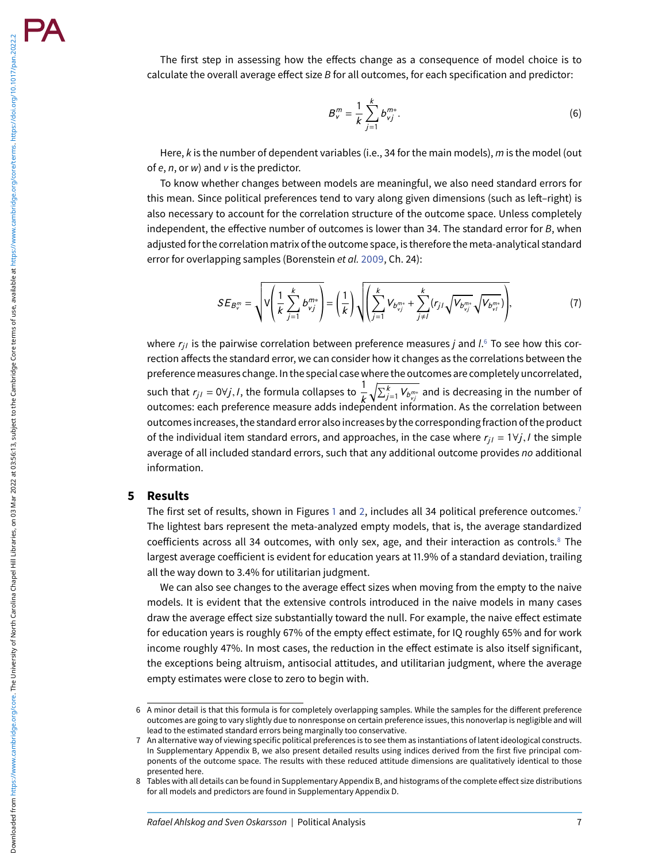The first step in assessing how the effects change as a consequence of model choice is to calculate the overall average effect size B for all outcomes, for each specification and predictor:

$$
B_v^m = \frac{1}{k} \sum_{j=1}^k b_{vj}^{m*}.
$$
 (6)

Here,  $k$  is the number of dependent variables (i.e., 34 for the main models),  $m$  is the model (out of  $e, n$ , or  $w$ ) and  $v$  is the predictor.

To know whether changes between models are meaningful, we also need standard errors for this mean. Since political preferences tend to vary along given dimensions (such as left–right) is also necessary to account for the correlation structure of the outcome space. Unless completely independent, the effective number of outcomes is lower than 34. The standard error for  $B$ , when adjusted for the correlation matrix of the outcome space, is therefore the meta-analytical standard error for overlapping samples (Borenstein et al. [2009,](#page-11-14) Ch. 24):

$$
SE_{B_v^m} = \sqrt{V\left(\frac{1}{k}\sum_{j=1}^k b_{vj}^{m*}\right)} = \left(\frac{1}{k}\right)\sqrt{\left(\sum_{j=1}^k V_{b_{vj}^{m*}} + \sum_{j\neq l}^k (r_{jl}\sqrt{V_{b_{vj}^{m*}}\sqrt{V_{b_{vi}^{m*}}}})\right)},
$$
(7)

where  $r_{ii}$  is the pairwise correlation between preference measures *j* and *l*.<sup>[6](#page-6-0)</sup> To see how this correction affects the standard error, we can consider how it changes as the correlations between the preferencemeasures change. In the special case where the outcomes are completely uncorrelated, such that  $r_{j,l} = 0 \forall j,l$ , the formula collapses to  $\frac{1}{k} \sqrt{\sum_{j=1}^{k} V_{b_{vj}^{m*}}}$  and is decreasing in the number of outcomes: each preference measure adds independent information. As the correlation between outcomes increases, the standard error also increases by the correspondingfraction of the product of the individual item standard errors, and approaches, in the case where  $r_{i,j} = 1 \forall j, l$  the simple average of all included standard errors, such that any additional outcome provides no additional information.

#### **5 Results**

The first set of results, shown in Figures [1](#page-7-0) and [2,](#page-7-1) includes all 34 political preference outcomes.<sup>7</sup> The lightest bars represent the meta-analyzed empty models, that is, the average standardized coefficients across all 34 outcomes, with only sex, age, and their interaction as controls.<sup>8</sup> The largest average coefficient is evident for education years at 11.9% of a standard deviation, trailing all the way down to 3.4% for utilitarian judgment.

We can also see changes to the average effect sizes when moving from the empty to the naive models. It is evident that the extensive controls introduced in the naive models in many cases draw the average effect size substantially toward the null. For example, the naive effect estimate for education years is roughly 67% of the empty effect estimate, for IQ roughly 65% and for work income roughly 47%. In most cases, the reduction in the effect estimate is also itself significant, the exceptions being altruism, antisocial attitudes, and utilitarian judgment, where the average empty estimates were close to zero to begin with.

<span id="page-6-0"></span><sup>6</sup> A minor detail is that this formula is for completely overlapping samples. While the samples for the different preference outcomes are going to vary slightly due to nonresponse on certain preference issues, this nonoverlap is negligible and will lead to the estimated standard errors being marginally too conservative.

<span id="page-6-1"></span><sup>7</sup> An alternative way of viewing specific political preferences is to see them as instantiations of latent ideological constructs. In Supplementary Appendix B, we also present detailed results using indices derived from the first five principal components of the outcome space. The results with these reduced attitude dimensions are qualitatively identical to those presented here.

<span id="page-6-2"></span><sup>8</sup> Tables with all details can be found in Supplementary Appendix B, and histograms of the complete effect size distributions for all models and predictors are found in Supplementary Appendix D.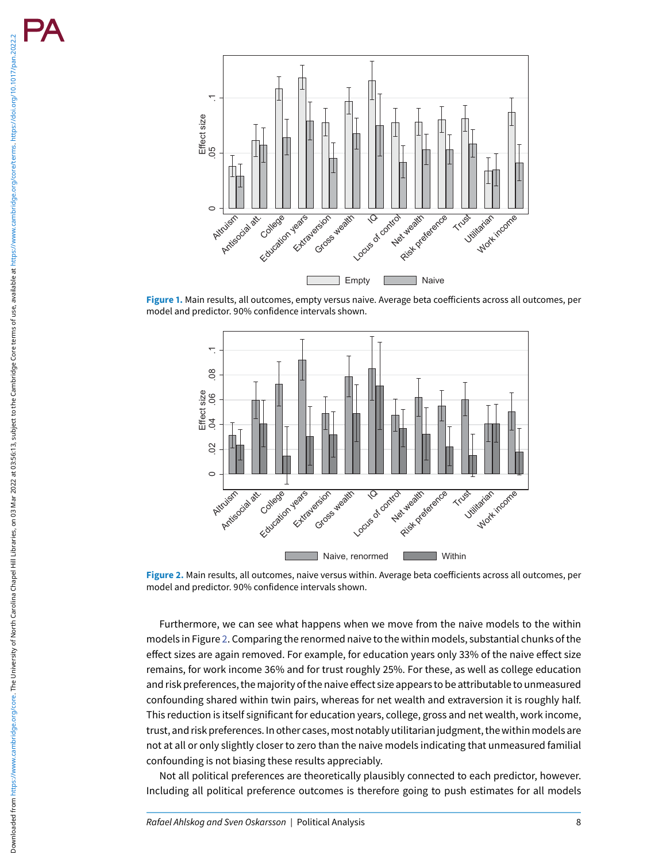<span id="page-7-0"></span>

<span id="page-7-1"></span>**Figure 1.** Main results, all outcomes, empty versus naive. Average beta coefficients across all outcomes, per model and predictor. 90% confidence intervals shown.



**Figure 2.** Main results, all outcomes, naive versus within. Average beta coefficients across all outcomes, per model and predictor. 90% confidence intervals shown.

Furthermore, we can see what happens when we move from the naive models to the within models in Figure [2.](#page-7-1) Comparing the renormed naive to the within models, substantial chunks of the effect sizes are again removed. For example, for education years only 33% of the naive effect size remains, for work income 36% and for trust roughly 25%. For these, as well as college education and risk preferences, the majority of the naive effect size appears to be attributable to unmeasured confounding shared within twin pairs, whereas for net wealth and extraversion it is roughly half. This reduction is itself significant for education years, college, gross and net wealth, work income, trust, and risk preferences. In other cases, most notably utilitarian judgment, the within models are not at all or only slightly closer to zero than the naive models indicating that unmeasured familial confounding is not biasing these results appreciably.

Not all political preferences are theoretically plausibly connected to each predictor, however. Including all political preference outcomes is therefore going to push estimates for all models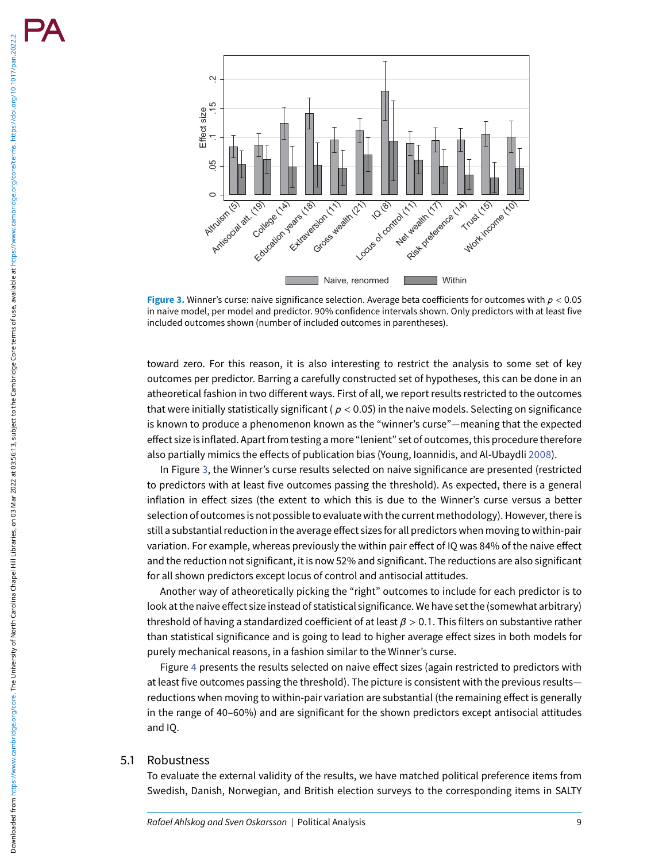Downloaded from https://www.cambridge.org/core. The University of North Carolina Charabel Hill Libraries, on 03 Mar 2022 at 03:56:13, subject to the Cambridge Core terms of use, available at https://www.cambridge.org/core/ Downloaded from https://www.cambridge.org/core. The University of North Carolina Chapel Hill Libraries, on 03 Mar 2022 at 03:56:13 , subject to the Cambridge Core terms of use, available at https://www.cambridge.org/core/t

<span id="page-8-0"></span>

**Figure 3.** Winner's curse: naive significance selection. Average beta coefficients for outcomes with *p* < 0.05 in naive model, per model and predictor. 90% confidence intervals shown. Only predictors with at least five included outcomes shown (number of included outcomes in parentheses).

toward zero. For this reason, it is also interesting to restrict the analysis to some set of key outcomes per predictor. Barring a carefully constructed set of hypotheses, this can be done in an atheoretical fashion in two different ways. First of all, we report results restricted to the outcomes that were initially statistically significant ( $p < 0.05$ ) in the naive models. Selecting on significance is known to produce a phenomenon known as the "winner's curse"—meaning that the expected effect size is inflated. Apart from testing a more "lenient" set of outcomes, this procedure therefore also partially mimics the effects of publication bias (Young, Ioannidis, and Al-Ubaydli [2008\)](#page-13-3).

In Figure [3,](#page-8-0) the Winner's curse results selected on naive significance are presented (restricted to predictors with at least five outcomes passing the threshold). As expected, there is a general inflation in effect sizes (the extent to which this is due to the Winner's curse versus a better selection of outcomes is not possible to evaluate with the current methodology). However, there is still a substantial reduction in the average effect sizes for all predictors when moving to within-pair variation. For example, whereas previously the within pair effect of IQ was 84% of the naive effect and the reduction not significant, it is now 52% and significant. The reductions are also significant for all shown predictors except locus of control and antisocial attitudes.

Another way of atheoretically picking the "right" outcomes to include for each predictor is to look at the naive effect size instead of statistical significance. We have set the (somewhat arbitrary) threshold of having a standardized coefficient of at least *β* > 0.1. This filters on substantive rather than statistical significance and is going to lead to higher average effect sizes in both models for purely mechanical reasons, in a fashion similar to the Winner's curse.

Figure [4](#page-9-0) presents the results selected on naive effect sizes (again restricted to predictors with at least five outcomes passing the threshold). The picture is consistent with the previous results reductions when moving to within-pair variation are substantial (the remaining effect is generally in the range of 40–60%) and are significant for the shown predictors except antisocial attitudes and IQ.

# 5.1 Robustness

To evaluate the external validity of the results, we have matched political preference items from Swedish, Danish, Norwegian, and British election surveys to the corresponding items in SALTY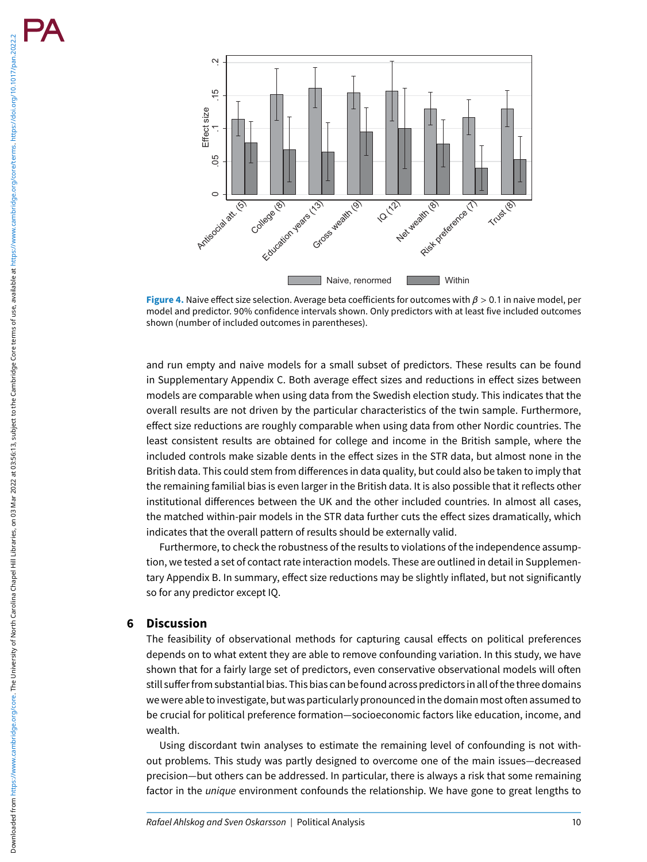Downloaded from https://www.cambridge.org/core. The University of North Carolina Charabel Hill Libraries, on 03 Mar 2022 at 03:56:13, subject to the Cambridge Core terms of use, available at https://www.cambridge.org/core/ Downloaded from https://www.cambridge.org/core. The University of North Carolina chapel Hill Libraries, on 03 Mar 2022 at 03:56:13 , subject to the Cambridge Core terms of use, available at https://www.cambridge.org/core/t

<span id="page-9-0"></span>

**Figure 4.** Naive effect size selection. Average beta coefficients for outcomes with *β* > 0.1 in naive model, per model and predictor. 90% confidence intervals shown. Only predictors with at least five included outcomes shown (number of included outcomes in parentheses).

and run empty and naive models for a small subset of predictors. These results can be found in Supplementary Appendix C. Both average effect sizes and reductions in effect sizes between models are comparable when using data from the Swedish election study. This indicates that the overall results are not driven by the particular characteristics of the twin sample. Furthermore, effect size reductions are roughly comparable when using data from other Nordic countries. The least consistent results are obtained for college and income in the British sample, where the included controls make sizable dents in the effect sizes in the STR data, but almost none in the British data. This could stem from differences in data quality, but could also be taken to imply that the remaining familial bias is even larger in the British data. It is also possible that it reflects other institutional differences between the UK and the other included countries. In almost all cases, the matched within-pair models in the STR data further cuts the effect sizes dramatically, which indicates that the overall pattern of results should be externally valid.

Furthermore, to check the robustness of the results to violations of the independence assumption, we tested a set of contact rate interaction models. These are outlined in detail in Supplementary Appendix B. In summary, effect size reductions may be slightly inflated, but not significantly so for any predictor except IQ.

#### **6 Discussion**

The feasibility of observational methods for capturing causal effects on political preferences depends on to what extent they are able to remove confounding variation. In this study, we have shown that for a fairly large set of predictors, even conservative observational models will often still sufferfrom substantial bias. This bias can befound across predictors in all of the three domains we were able to investigate, but was particularly pronounced in the domain most often assumed to be crucial for political preference formation—socioeconomic factors like education, income, and wealth.

Using discordant twin analyses to estimate the remaining level of confounding is not without problems. This study was partly designed to overcome one of the main issues—decreased precision—but others can be addressed. In particular, there is always a risk that some remaining factor in the unique environment confounds the relationship. We have gone to great lengths to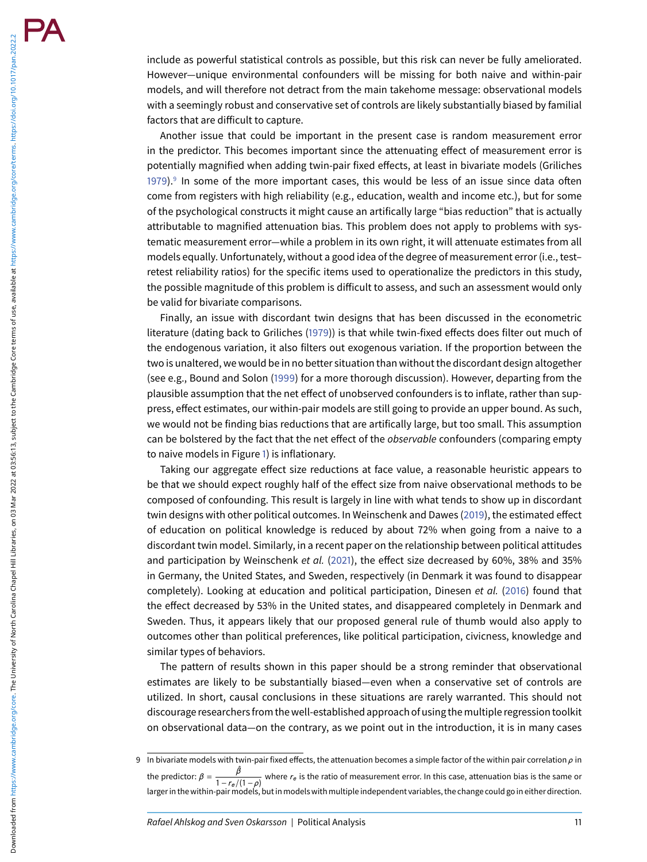Downloaded from https://www.cambridge.org/core. The University of North Carolina Charabel Hill Libraries, on 03 Mar 2022 at 03:56:13, subject to the Cambridge Core terms of use, available at https://www.cambridge.org/core/ Downloaded from https://www.cambridge.org/core. The University of North Carolina chapel Hill Libraries, on 03 Mar 2022 at 03:56:13 , subject to the Cambridge Core terms of use, available at https://www.cambridge.org/core/t

include as powerful statistical controls as possible, but this risk can never be fully ameliorated. However—unique environmental confounders will be missing for both naive and within-pair models, and will therefore not detract from the main takehome message: observational models with a seemingly robust and conservative set of controls are likely substantially biased by familial factors that are difficult to capture.

Another issue that could be important in the present case is random measurement error in the predictor. This becomes important since the attenuating effect of measurement error is potentially magnified when adding twin-pair fixed effects, at least in bivariate models (Griliches [1979\)](#page-12-30).<sup>[9](#page-10-0)</sup> In some of the more important cases, this would be less of an issue since data often come from registers with high reliability (e.g., education, wealth and income etc.), but for some of the psychological constructs it might cause an artifically large "bias reduction" that is actually attributable to magnified attenuation bias. This problem does not apply to problems with systematic measurement error—while a problem in its own right, it will attenuate estimates from all models equally. Unfortunately, without a good idea of the degree of measurement error (i.e., test– retest reliability ratios) for the specific items used to operationalize the predictors in this study, the possible magnitude of this problem is difficult to assess, and such an assessment would only be valid for bivariate comparisons.

Finally, an issue with discordant twin designs that has been discussed in the econometric literature (dating back to Griliches [\(1979\)](#page-12-30)) is that while twin-fixed effects does filter out much of the endogenous variation, it also filters out exogenous variation. If the proportion between the two is unaltered, we would be in no better situation than without the discordant design altogether (see e.g., Bound and Solon [\(1999\)](#page-11-15) for a more thorough discussion). However, departing from the plausible assumption that the net effect of unobserved confounders is to inflate, rather than suppress, effect estimates, our within-pair models are still going to provide an upper bound. As such, we would not be finding bias reductions that are artifically large, but too small. This assumption can be bolstered by the fact that the net effect of the *observable* confounders (comparing empty to naive models in Figure [1\)](#page-7-0) is inflationary.

Taking our aggregate effect size reductions at face value, a reasonable heuristic appears to be that we should expect roughly half of the effect size from naive observational methods to be composed of confounding. This result is largely in line with what tends to show up in discordant twin designs with other political outcomes. In Weinschenk and Dawes [\(2019\)](#page-13-4), the estimated effect of education on political knowledge is reduced by about 72% when going from a naive to a discordant twin model. Similarly, in a recent paper on the relationship between political attitudes and participation by Weinschenk et al. [\(2021\)](#page-13-5), the effect size decreased by 60%, 38% and 35% in Germany, the United States, and Sweden, respectively (in Denmark it was found to disappear completely). Looking at education and political participation, Dinesen et al. [\(2016\)](#page-11-16) found that the effect decreased by 53% in the United states, and disappeared completely in Denmark and Sweden. Thus, it appears likely that our proposed general rule of thumb would also apply to outcomes other than political preferences, like political participation, civicness, knowledge and similar types of behaviors.

The pattern of results shown in this paper should be a strong reminder that observational estimates are likely to be substantially biased—even when a conservative set of controls are utilized. In short, causal conclusions in these situations are rarely warranted. This should not discourage researchersfrom the well-established approach of using themultiple regression toolkit on observational data—on the contrary, as we point out in the introduction, it is in many cases

<span id="page-10-0"></span><sup>9</sup> In bivariate models with twin-pair fixed effects, the attenuation becomes a simple factor of the within pair correlation *ρ* in the predictor:  $\beta = \frac{\hat{\beta}}{1 - \hat{\beta}}$ *− P* and *re* is the ratio of measurement error. In this case, attenuation bias is the same or and *r*<sub>e</sub>/(1−*ρ*) larger in the within-pair models, but in models with multiple independent variables, the change could go in either direction.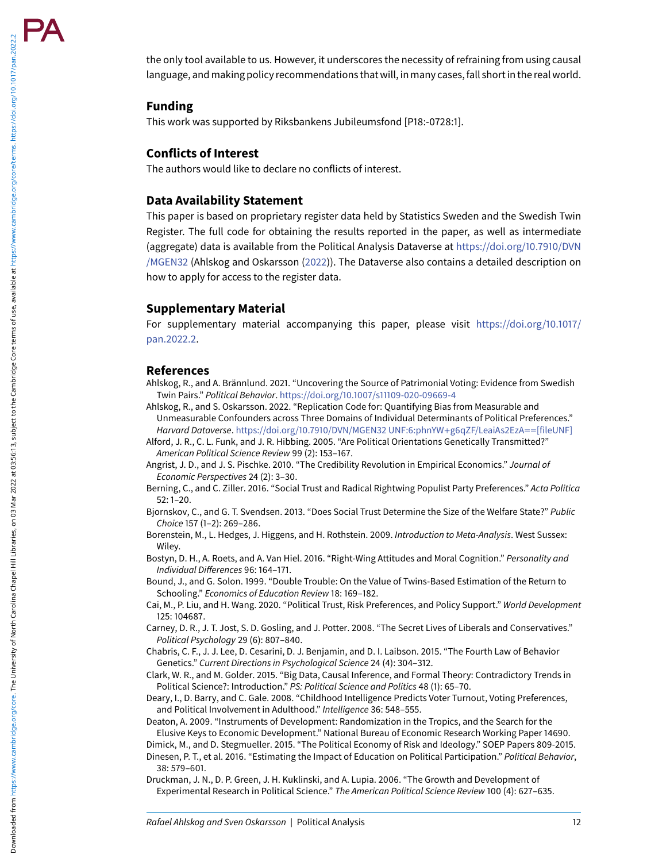the only tool available to us. However, it underscores the necessity of refraining from using causal language, and making policy recommendations that will, in many cases,fall short in the real world.

# **Funding**

This work was supported by Riksbankens Jubileumsfond [P18:-0728:1].

# **Conflicts of Interest**

The authors would like to declare no conflicts of interest.

#### **Data Availability Statement**

This paper is based on proprietary register data held by Statistics Sweden and the Swedish Twin Register. The full code for obtaining the results reported in the paper, as well as intermediate (aggregate) data is available from the Political Analysis Dataverse at https://doi.org/10.7910/DVN /MGEN32 [\(Ahlskog and Oskarsson \(2022\)\). The Dataverse also contains a detailed description on](https://doi.org/10.7910/DVN/MGEN32) how to apply for access to the register data.

# **Supplementary Material**

[For supplementary material accompanying this paper, please visit](https://doi.org/10.1017/pan.2022.2) https://doi.org/10.1017/ pan.2022.2 .

# **References**

- <span id="page-11-6"></span>Ahlskog, R., and A. Brännlund. 2021. "Uncovering the Source of Patrimonial Voting: Evidence from Swedish Twin Pairs." Political Behavior. <https://doi.org/10.1007/s11109-020-09669-4>
- <span id="page-11-17"></span>Ahlskog, R., and S. Oskarsson. 2022. "Replication Code for: Quantifying Bias from Measurable and Unmeasurable Confounders across Three Domains of Individual Determinants of Political Preferences." Harvard Dataverse. [https://doi.org/10.7910/DVN/MGEN32 UNF:6:phnYW](https://doi.org/10.7910/DVN/MGEN32%20UNF:6:phnYW$+$g6qZF/LeaiAs2EzA$==$%5bfileUNF%5d)+g6qZF/LeaiAs2EzA==[fileUNF]
- <span id="page-11-4"></span>Alford, J. R., C. L. Funk, and J. R. Hibbing. 2005. "Are Political Orientations Genetically Transmitted?" American Political Science Review 99 (2): 153–167.
- <span id="page-11-0"></span>Angrist, J. D., and J. S. Pischke. 2010. "The Credibility Revolution in Empirical Economics." Journal of Economic Perspectives 24 (2): 3–30.
- <span id="page-11-7"></span>Berning, C., and C. Ziller. 2016. "Social Trust and Radical Rightwing Populist Party Preferences." Acta Politica 52: 1–20.
- <span id="page-11-8"></span>Biornskov, C., and G. T. Svendsen. 2013. "Does Social Trust Determine the Size of the Welfare State?" Public Choice 157 (1–2): 269–286.
- <span id="page-11-14"></span>Borenstein, M., L. Hedges, J. Higgens, and H. Rothstein. 2009. Introduction to Meta-Analysis. West Sussex: Wiley.
- <span id="page-11-9"></span>Bostyn, D. H., A. Roets, and A. Van Hiel. 2016. "Right-Wing Attitudes and Moral Cognition." Personality and Individual Differences 96: 164–171.
- <span id="page-11-15"></span>Bound, J., and G. Solon. 1999. "Double Trouble: On the Value of Twins-Based Estimation of the Return to Schooling." Economics of Education Review 18: 169–182.
- <span id="page-11-11"></span>Cai, M., P. Liu, and H. Wang. 2020. "Political Trust, Risk Preferences, and Policy Support." World Development 125: 104687.
- <span id="page-11-12"></span>Carney, D. R., J. T. Jost, S. D. Gosling, and J. Potter. 2008. "The Secret Lives of Liberals and Conservatives." Political Psychology 29 (6): 807–840.

<span id="page-11-5"></span>Chabris, C. F., J. J. Lee, D. Cesarini, D. J. Benjamin, and D. I. Laibson. 2015. "The Fourth Law of Behavior Genetics." Current Directions in Psychological Science 24 (4): 304–312.

- <span id="page-11-1"></span>Clark, W. R., and M. Golder. 2015. "Big Data, Causal Inference, and Formal Theory: Contradictory Trends in Political Science?: Introduction." PS: Political Science and Politics 48 (1): 65–70.
- <span id="page-11-13"></span>Deary, I., D. Barry, and C. Gale. 2008. "Childhood Intelligence Predicts Voter Turnout, Voting Preferences, and Political Involvement in Adulthood." Intelligence 36: 548–555.

<span id="page-11-3"></span>Deaton, A. 2009. "Instruments of Development: Randomization in the Tropics, and the Search for the Elusive Keys to Economic Development." National Bureau of Economic Research Working Paper 14690.

<span id="page-11-10"></span>Dimick, M., and D. Stegmueller. 2015. "The Political Economy of Risk and Ideology." SOEP Papers 809-2015.

<span id="page-11-16"></span>Dinesen, P. T., et al. 2016. "Estimating the Impact of Education on Political Participation." *Political Behavior*, 38: 579–601.

<span id="page-11-2"></span>Druckman, J. N., D. P. Green, J. H. Kuklinski, and A. Lupia. 2006. "The Growth and Development of Experimental Research in Political Science." The American Political Science Review 100 (4): 627–635.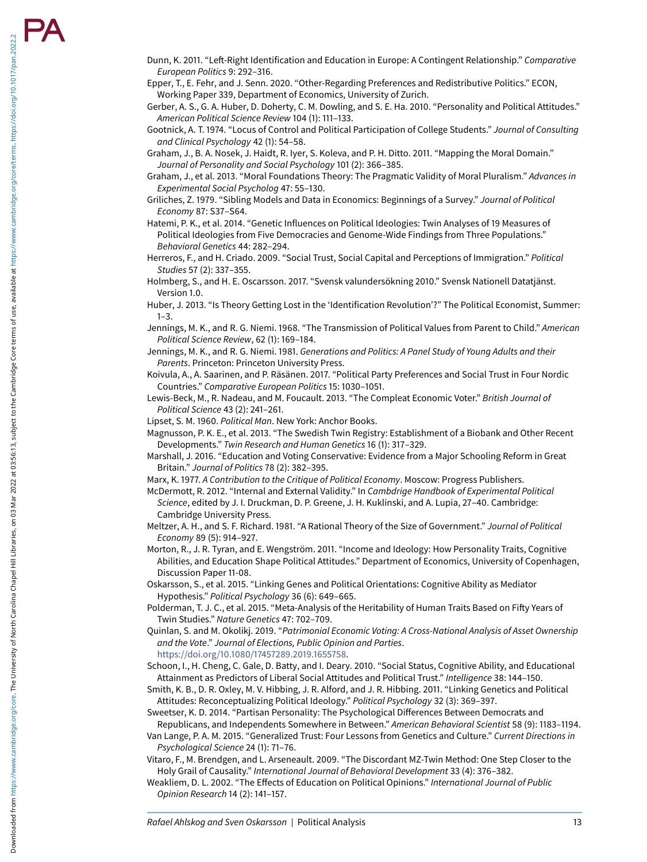Downloaded from https://www.cambridge.org/core. The University of North Carolina Charabel Hill Libraries, on 03 Mar 2022 at 03:56:13, subject to the Cambridge Core terms of use, available at https://www.cambridge.org/core/

Downloaded from https://www.cambridge.org/core. The University of North Carolina Chapel Hill Libraries, on 03 Mar

 $2022$  at  $03:56:13$  , subject to the Cambridge Core terms of use, available at https://www.cambridge.org/core/terms. https://doi.org/10.1017/pan.2022.2

- <span id="page-12-11"></span>Dunn, K. 2011. "Left-Right Identification and Education in Europe: A Contingent Relationship." Comparative European Politics 9: 292–316.
- <span id="page-12-20"></span>Epper, T., E. Fehr, and J. Senn. 2020. "Other-Regarding Preferences and Redistributive Politics." ECON, Working Paper 339, Department of Economics, University of Zurich.
- <span id="page-12-23"></span>Gerber, A. S., G. A. Huber, D. Doherty, C. M. Dowling, and S. E. Ha. 2010. "Personality and Political Attitudes." American Political Science Review 104 (1): 111–133.
- <span id="page-12-24"></span>Gootnick, A. T. 1974. "Locus of Control and Political Participation of College Students." Journal of Consulting and Clinical Psychology 42 (1): 54–58.
- <span id="page-12-22"></span>Graham, J., B. A. Nosek, J. Haidt, R. Iyer, S. Koleva, and P. H. Ditto. 2011. "Mapping the Moral Domain." Journal of Personality and Social Psychology 101 (2): 366–385.
- <span id="page-12-21"></span>Graham, J., et al. 2013. "Moral Foundations Theory: The Pragmatic Validity of Moral Pluralism." Advances in Experimental Social Psycholog 47: 55–130.
- <span id="page-12-30"></span>Griliches, Z. 1979. "Sibling Models and Data in Economics: Beginnings of a Survey." Journal of Political Economy 87: S37–S64.
- <span id="page-12-9"></span>Hatemi, P. K., et al. 2014. "Genetic Influences on Political Ideologies: Twin Analyses of 19 Measures of Political Ideologies from Five Democracies and Genome-Wide Findings from Three Populations." Behavioral Genetics 44: 282–294.
- <span id="page-12-19"></span>Herreros, F., and H. Criado. 2009. "Social Trust, Social Capital and Perceptions of Immigration." Political Studies 57 (2): 337–355.
- <span id="page-12-28"></span>Holmberg, S., and H. E. Oscarsson. 2017. "Svensk valundersökning 2010." Svensk Nationell Datatjänst. Version 1.0.
- <span id="page-12-0"></span>Huber, J. 2013. "Is Theory Getting Lost in the 'Identification Revolution'?" The Political Economist, Summer:  $1 - 3$ .
- <span id="page-12-3"></span>Jennings, M. K., and R. G. Niemi. 1968. "The Transmission of Political Values from Parent to Child." American Political Science Review, 62 (1): 169–184.
- <span id="page-12-4"></span>Jennings, M. K., and R. G. Niemi. 1981. Generations and Politics: A Panel Study of Young Adults and their Parents. Princeton: Princeton University Press.
- <span id="page-12-18"></span>Koivula, A., A. Saarinen, and P. Räsänen. 2017. "Political Party Preferences and Social Trust in Four Nordic Countries." Comparative European Politics 15: 1030–1051.
- <span id="page-12-14"></span>Lewis-Beck, M., R. Nadeau, and M. Foucault. 2013. "The Compleat Economic Voter." British Journal of Political Science 43 (2): 241–261.
- <span id="page-12-1"></span>Lipset, S. M. 1960. Political Man. New York: Anchor Books.
- <span id="page-12-29"></span>Magnusson, P. K. E., et al. 2013. "The Swedish Twin Registry: Establishment of a Biobank and Other Recent Developments." Twin Research and Human Genetics 16 (1): 317–329.
- <span id="page-12-13"></span>Marshall, J. 2016. "Education and Voting Conservative: Evidence from a Major Schooling Reform in Great Britain." Journal of Politics 78 (2): 382–395.
- <span id="page-12-2"></span>Marx, K. 1977. A Contribution to the Critique of Political Economy. Moscow: Progress Publishers.
- <span id="page-12-7"></span>McDermott, R. 2012. "Internal and External Validity." In Cambdrige Handbook of Experimental Political Science, edited by J. I. Druckman, D. P. Greene, J. H. Kuklinski, and A. Lupia, 27–40. Cambridge: Cambridge University Press.
- <span id="page-12-16"></span>Meltzer, A. H., and S. F. Richard. 1981. "A Rational Theory of the Size of Government." Journal of Political Economy 89 (5): 914–927.
- <span id="page-12-27"></span>Morton, R., J. R. Tyran, and E. Wengström. 2011. "Income and Ideology: How Personality Traits, Cognitive Abilities, and Education Shape Political Attitudes." Department of Economics, University of Copenhagen, Discussion Paper 11-08.
- <span id="page-12-5"></span>Oskarsson, S., et al. 2015. "Linking Genes and Political Orientations: Cognitive Ability as Mediator Hypothesis." Political Psychology 36 (6): 649–665.
- <span id="page-12-8"></span>Polderman, T. J. C., et al. 2015. "Meta-Analysis of the Heritability of Human Traits Based on Fifty Years of Twin Studies." Nature Genetics 47: 702–709.
- <span id="page-12-15"></span>Quinlan, S. and M. Okolikj. 2019. "Patrimonial Economic Voting: A Cross-National Analysis of Asset Ownership and the Vote." Journal of Elections, Public Opinion and Parties . <https://doi.org/10.1080/17457289.2019.1655758> .
- <span id="page-12-26"></span>Schoon, I., H. Cheng, C. Gale, D. Batty, and I. Deary. 2010. "Social Status, Cognitive Ability, and Educational Attainment as Predictors of Liberal Social Attitudes and Political Trust." Intelligence 38: 144–150.
- <span id="page-12-6"></span>Smith, K. B., D. R. Oxley, M. V. Hibbing, J. R. Alford, and J. R. Hibbing. 2011. "Linking Genetics and Political Attitudes: Reconceptualizing Political Ideology." Political Psychology 32 (3): 369–397.
- <span id="page-12-25"></span>Sweetser, K. D. 2014. "Partisan Personality: The Psychological Differences Between Democrats and Republicans, and Independents Somewhere in Between." American Behavioral Scientist 58 (9): 1183–1194.
- <span id="page-12-17"></span>Van Lange, P. A. M. 2015. "Generalized Trust: Four Lessons from Genetics and Culture." Current Directions in Psychological Science 24 (1): 71–76.
- <span id="page-12-10"></span>Vitaro, F., M. Brendgen, and L. Arseneault. 2009. "The Discordant MZ-Twin Method: One Step Closer to the Holy Grail of Causality." International Journal of Behavioral Development 33 (4): 376–382.
- <span id="page-12-12"></span>Weakliem, D. L. 2002. "The Effects of Education on Political Opinions." International Journal of Public Opinion Research 14 (2): 141–157.